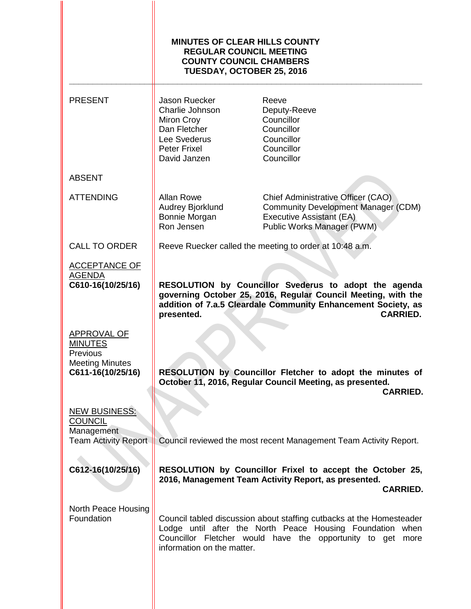|                                                                                          | <b>MINUTES OF CLEAR HILLS COUNTY</b><br><b>REGULAR COUNCIL MEETING</b><br><b>COUNTY COUNCIL CHAMBERS</b><br>TUESDAY, OCTOBER 25, 2016                                                                                            |                                                                                                                                            |
|------------------------------------------------------------------------------------------|----------------------------------------------------------------------------------------------------------------------------------------------------------------------------------------------------------------------------------|--------------------------------------------------------------------------------------------------------------------------------------------|
| <b>PRESENT</b>                                                                           | Jason Ruecker<br>Charlie Johnson<br>Miron Croy<br>Dan Fletcher<br>Lee Svederus<br><b>Peter Frixel</b><br>David Janzen                                                                                                            | Reeve<br>Deputy-Reeve<br>Councillor<br>Councillor<br>Councillor<br>Councillor<br>Councillor                                                |
| <b>ABSENT</b>                                                                            |                                                                                                                                                                                                                                  |                                                                                                                                            |
| <b>ATTENDING</b>                                                                         | <b>Allan Rowe</b><br>Audrey Bjorklund<br>Bonnie Morgan<br>Ron Jensen                                                                                                                                                             | Chief Administrative Officer (CAO)<br><b>Community Development Manager (CDM)</b><br>Executive Assistant (EA)<br>Public Works Manager (PWM) |
| <b>CALL TO ORDER</b>                                                                     |                                                                                                                                                                                                                                  | Reeve Ruecker called the meeting to order at 10:48 a.m.                                                                                    |
| <b>ACCEPTANCE OF</b><br><b>AGENDA</b><br>C610-16(10/25/16)                               | RESOLUTION by Councillor Svederus to adopt the agenda<br>governing October 25, 2016, Regular Council Meeting, with the<br>addition of 7.a.5 Cleardale Community Enhancement Society, as<br><b>CARRIED.</b><br>presented.         |                                                                                                                                            |
| APPROVAL OF<br><b>MINUTES</b><br>Previous<br><b>Meeting Minutes</b><br>C611-16(10/25/16) | RESOLUTION by Councillor Fletcher to adopt the minutes of<br>October 11, 2016, Regular Council Meeting, as presented.<br><b>CARRIED.</b>                                                                                         |                                                                                                                                            |
| <b>NEW BUSINESS:</b><br><b>COUNCIL</b><br>Management<br><b>Team Activity Report</b>      |                                                                                                                                                                                                                                  | Council reviewed the most recent Management Team Activity Report.                                                                          |
| C612-16(10/25/16)                                                                        | RESOLUTION by Councillor Frixel to accept the October 25,<br>2016, Management Team Activity Report, as presented.<br><b>CARRIED.</b>                                                                                             |                                                                                                                                            |
| North Peace Housing<br>Foundation                                                        | Council tabled discussion about staffing cutbacks at the Homesteader<br>Lodge until after the North Peace Housing Foundation when<br>Councillor Fletcher would have the opportunity to get<br>more<br>information on the matter. |                                                                                                                                            |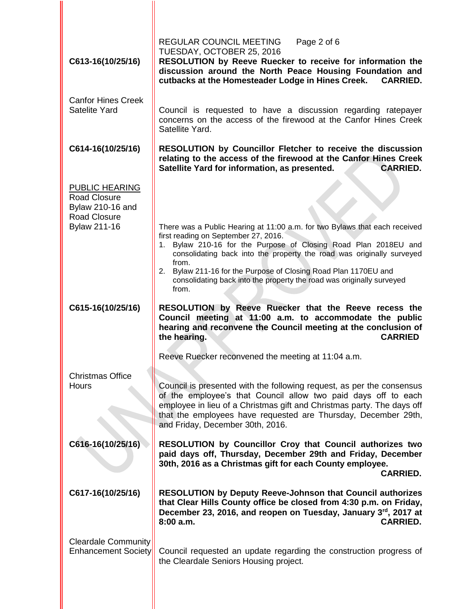| C613-16(10/25/16)                                                                                       | REGULAR COUNCIL MEETING<br>Page 2 of 6<br>TUESDAY, OCTOBER 25, 2016<br>RESOLUTION by Reeve Ruecker to receive for information the<br>discussion around the North Peace Housing Foundation and<br>cutbacks at the Homesteader Lodge in Hines Creek.<br><b>CARRIED.</b>                                                                                                                                                           |
|---------------------------------------------------------------------------------------------------------|---------------------------------------------------------------------------------------------------------------------------------------------------------------------------------------------------------------------------------------------------------------------------------------------------------------------------------------------------------------------------------------------------------------------------------|
| <b>Canfor Hines Creek</b><br><b>Satelite Yard</b>                                                       | Council is requested to have a discussion regarding ratepayer<br>concerns on the access of the firewood at the Canfor Hines Creek<br>Satellite Yard.                                                                                                                                                                                                                                                                            |
| C614-16(10/25/16)                                                                                       | <b>RESOLUTION</b> by Councillor Fletcher to receive the discussion<br>relating to the access of the firewood at the Canfor Hines Creek<br>Satellite Yard for information, as presented.<br><b>CARRIED.</b>                                                                                                                                                                                                                      |
| PUBLIC HEARING<br><b>Road Closure</b><br>Bylaw 210-16 and<br><b>Road Closure</b><br><b>Bylaw 211-16</b> | There was a Public Hearing at 11:00 a.m. for two Bylaws that each received<br>first reading on September 27, 2016.<br>Bylaw 210-16 for the Purpose of Closing Road Plan 2018EU and<br>1.<br>consolidating back into the property the road was originally surveyed<br>from.<br>2. Bylaw 211-16 for the Purpose of Closing Road Plan 1170EU and<br>consolidating back into the property the road was originally surveyed<br>from. |
|                                                                                                         |                                                                                                                                                                                                                                                                                                                                                                                                                                 |
| C615-16(10/25/16)                                                                                       | RESOLUTION by Reeve Ruecker that the Reeve recess the<br>Council meeting at 11:00 a.m. to accommodate the public<br>hearing and reconvene the Council meeting at the conclusion of<br>the hearing.<br><b>CARRIED</b>                                                                                                                                                                                                            |
| <b>Christmas Office</b><br>Hours                                                                        | Reeve Ruecker reconvened the meeting at 11:04 a.m.<br>Council is presented with the following request, as per the consensus<br>of the employee's that Council allow two paid days off to each<br>employee in lieu of a Christmas gift and Christmas party. The days off<br>that the employees have requested are Thursday, December 29th,<br>and Friday, December 30th, 2016.                                                   |
| C616-16(10/25/16)                                                                                       | RESOLUTION by Councillor Croy that Council authorizes two<br>paid days off, Thursday, December 29th and Friday, December<br>30th, 2016 as a Christmas gift for each County employee.<br><b>CARRIED.</b>                                                                                                                                                                                                                         |
| C617-16(10/25/16)                                                                                       | <b>RESOLUTION by Deputy Reeve-Johnson that Council authorizes</b><br>that Clear Hills County office be closed from 4:30 p.m. on Friday,<br>December 23, 2016, and reopen on Tuesday, January 3rd, 2017 at<br>8:00 a.m.<br><b>CARRIED.</b>                                                                                                                                                                                       |
| <b>Cleardale Community</b><br><b>Enhancement Society</b>                                                | Council requested an update regarding the construction progress of<br>the Cleardale Seniors Housing project.                                                                                                                                                                                                                                                                                                                    |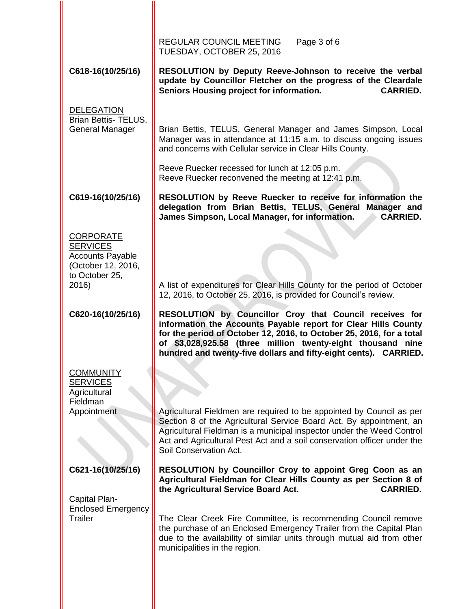| RESOLUTION by Deputy Reeve-Johnson to receive the verbal<br>update by Councillor Fletcher on the progress of the Cleardale<br><b>CARRIED.</b>                                                                                                                                                                                                                                                            |
|----------------------------------------------------------------------------------------------------------------------------------------------------------------------------------------------------------------------------------------------------------------------------------------------------------------------------------------------------------------------------------------------------------|
| Brian Bettis, TELUS, General Manager and James Simpson, Local<br>Manager was in attendance at 11:15 a.m. to discuss ongoing issues                                                                                                                                                                                                                                                                       |
|                                                                                                                                                                                                                                                                                                                                                                                                          |
| RESOLUTION by Reeve Ruecker to receive for information the<br>delegation from Brian Bettis, TELUS, General Manager and<br><b>CARRIED.</b>                                                                                                                                                                                                                                                                |
| A list of expenditures for Clear Hills County for the period of October                                                                                                                                                                                                                                                                                                                                  |
| 12, 2016, to October 25, 2016, is provided for Council's review.<br>RESOLUTION by Councillor Croy that Council receives for<br>information the Accounts Payable report for Clear Hills County<br>for the period of October 12, 2016, to October 25, 2016, for a total<br>of \$3,028,925.58 (three million twenty-eight thousand nine<br>hundred and twenty-five dollars and fifty-eight cents). CARRIED. |
|                                                                                                                                                                                                                                                                                                                                                                                                          |
| Agricultural Fieldmen are required to be appointed by Council as per<br>Section 8 of the Agricultural Service Board Act. By appointment, an<br>Agricultural Fieldman is a municipal inspector under the Weed Control<br>Act and Agricultural Pest Act and a soil conservation officer under the                                                                                                          |
| RESOLUTION by Councillor Croy to appoint Greg Coon as an<br>Agricultural Fieldman for Clear Hills County as per Section 8 of<br><b>CARRIED.</b>                                                                                                                                                                                                                                                          |
| The Clear Creek Fire Committee, is recommending Council remove<br>the purchase of an Enclosed Emergency Trailer from the Capital Plan<br>due to the availability of similar units through mutual aid from other                                                                                                                                                                                          |
|                                                                                                                                                                                                                                                                                                                                                                                                          |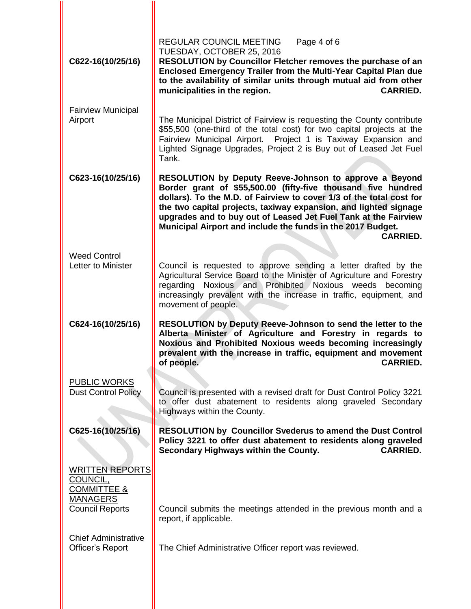| C622-16(10/25/16)                                                                                         | <b>REGULAR COUNCIL MEETING</b><br>Page 4 of 6<br>TUESDAY, OCTOBER 25, 2016<br>RESOLUTION by Councillor Fletcher removes the purchase of an<br>Enclosed Emergency Trailer from the Multi-Year Capital Plan due<br>to the availability of similar units through mutual aid from other<br>municipalities in the region.<br><b>CARRIED.</b>                                                                                  |
|-----------------------------------------------------------------------------------------------------------|--------------------------------------------------------------------------------------------------------------------------------------------------------------------------------------------------------------------------------------------------------------------------------------------------------------------------------------------------------------------------------------------------------------------------|
| <b>Fairview Municipal</b><br>Airport                                                                      | The Municipal District of Fairview is requesting the County contribute<br>\$55,500 (one-third of the total cost) for two capital projects at the<br>Fairview Municipal Airport. Project 1 is Taxiway Expansion and<br>Lighted Signage Upgrades, Project 2 is Buy out of Leased Jet Fuel<br>Tank.                                                                                                                         |
| C623-16(10/25/16)                                                                                         | RESOLUTION by Deputy Reeve-Johnson to approve a Beyond<br>Border grant of \$55,500.00 (fifty-five thousand five hundred<br>dollars). To the M.D. of Fairview to cover 1/3 of the total cost for<br>the two capital projects, taxiway expansion, and lighted signage<br>upgrades and to buy out of Leased Jet Fuel Tank at the Fairview<br>Municipal Airport and include the funds in the 2017 Budget.<br><b>CARRIED.</b> |
| <b>Weed Control</b><br>Letter to Minister                                                                 | Council is requested to approve sending a letter drafted by the<br>Agricultural Service Board to the Minister of Agriculture and Forestry<br>Noxious and Prohibited Noxious weeds<br>becoming<br>regarding<br>increasingly prevalent with the increase in traffic, equipment, and<br>movement of people.                                                                                                                 |
| C624-16(10/25/16)                                                                                         | RESOLUTION by Deputy Reeve-Johnson to send the letter to the<br>Alberta Minister of Agriculture and Forestry in regards to<br>Noxious and Prohibited Noxious weeds becoming increasingly<br>prevalent with the increase in traffic, equipment and movement<br>of people.<br><b>CARRIED.</b>                                                                                                                              |
| <b>PUBLIC WORKS</b><br><b>Dust Control Policy</b>                                                         | Council is presented with a revised draft for Dust Control Policy 3221<br>to offer dust abatement to residents along graveled Secondary<br>Highways within the County.                                                                                                                                                                                                                                                   |
| C625-16(10/25/16)                                                                                         | <b>RESOLUTION by Councillor Svederus to amend the Dust Control</b><br>Policy 3221 to offer dust abatement to residents along graveled<br>Secondary Highways within the County.<br><b>CARRIED.</b>                                                                                                                                                                                                                        |
| <b>WRITTEN REPORTS</b><br>COUNCIL.<br><b>COMMITTEE &amp;</b><br><b>MANAGERS</b><br><b>Council Reports</b> | Council submits the meetings attended in the previous month and a                                                                                                                                                                                                                                                                                                                                                        |
|                                                                                                           | report, if applicable.                                                                                                                                                                                                                                                                                                                                                                                                   |
| <b>Chief Administrative</b><br>Officer's Report                                                           | The Chief Administrative Officer report was reviewed.                                                                                                                                                                                                                                                                                                                                                                    |
|                                                                                                           |                                                                                                                                                                                                                                                                                                                                                                                                                          |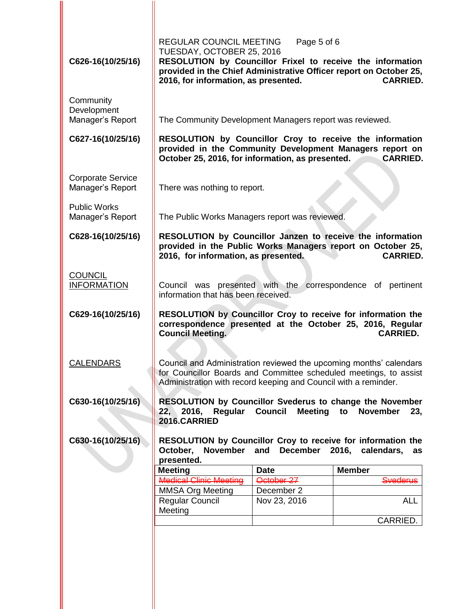| C626-16(10/25/16)                            | REGULAR COUNCIL MEETING<br>TUESDAY, OCTOBER 25, 2016<br>RESOLUTION by Councillor Frixel to receive the information<br>provided in the Chief Administrative Officer report on October 25,<br>2016, for information, as presented. | Page 5 of 6               | <b>CARRIED.</b>              |
|----------------------------------------------|----------------------------------------------------------------------------------------------------------------------------------------------------------------------------------------------------------------------------------|---------------------------|------------------------------|
| Community<br>Development<br>Manager's Report | The Community Development Managers report was reviewed.                                                                                                                                                                          |                           |                              |
| C627-16(10/25/16)                            | RESOLUTION by Councillor Croy to receive the information<br>provided in the Community Development Managers report on<br>October 25, 2016, for information, as presented.<br><b>CARRIED.</b>                                      |                           |                              |
| <b>Corporate Service</b><br>Manager's Report | There was nothing to report.                                                                                                                                                                                                     |                           |                              |
| <b>Public Works</b><br>Manager's Report      | The Public Works Managers report was reviewed.                                                                                                                                                                                   |                           |                              |
| C628-16(10/25/16)                            | RESOLUTION by Councillor Janzen to receive the information<br>provided in the Public Works Managers report on October 25,<br>2016, for information, as presented.<br><b>CARRIED.</b>                                             |                           |                              |
| <b>COUNCIL</b><br><b>INFORMATION</b>         | Council was presented with the correspondence of pertinent<br>information that has been received.                                                                                                                                |                           |                              |
| C629-16(10/25/16)                            | RESOLUTION by Councillor Croy to receive for information the<br>correspondence presented at the October 25, 2016, Regular<br><b>Council Meeting.</b><br><b>CARRIED.</b>                                                          |                           |                              |
| <b>CALENDARS</b>                             | Council and Administration reviewed the upcoming months' calendars<br>for Councillor Boards and Committee scheduled meetings, to assist<br>Administration with record keeping and Council with a reminder.                       |                           |                              |
| C630-16(10/25/16)                            | <b>RESOLUTION by Councillor Svederus to change the November</b><br>Regular<br>22, 2016,<br>2016.CARRIED                                                                                                                          | <b>Council</b><br>Meeting | to<br><b>November</b><br>23, |
| C630-16(10/25/16)                            | RESOLUTION by Councillor Croy to receive for information the<br>November and December 2016, calendars,<br>October,<br>as<br>presented.                                                                                           |                           |                              |
|                                              | <b>Meeting</b>                                                                                                                                                                                                                   | <b>Date</b>               | <b>Member</b>                |
|                                              | <b>Medical Clinic Meeting</b>                                                                                                                                                                                                    | October 27                | <b>Svederus</b>              |
|                                              | <b>MMSA Org Meeting</b>                                                                                                                                                                                                          | December 2                |                              |
|                                              | <b>Regular Council</b><br>Meeting                                                                                                                                                                                                | Nov 23, 2016              | <b>ALL</b>                   |
|                                              |                                                                                                                                                                                                                                  |                           | CARRIED.                     |
|                                              |                                                                                                                                                                                                                                  |                           |                              |